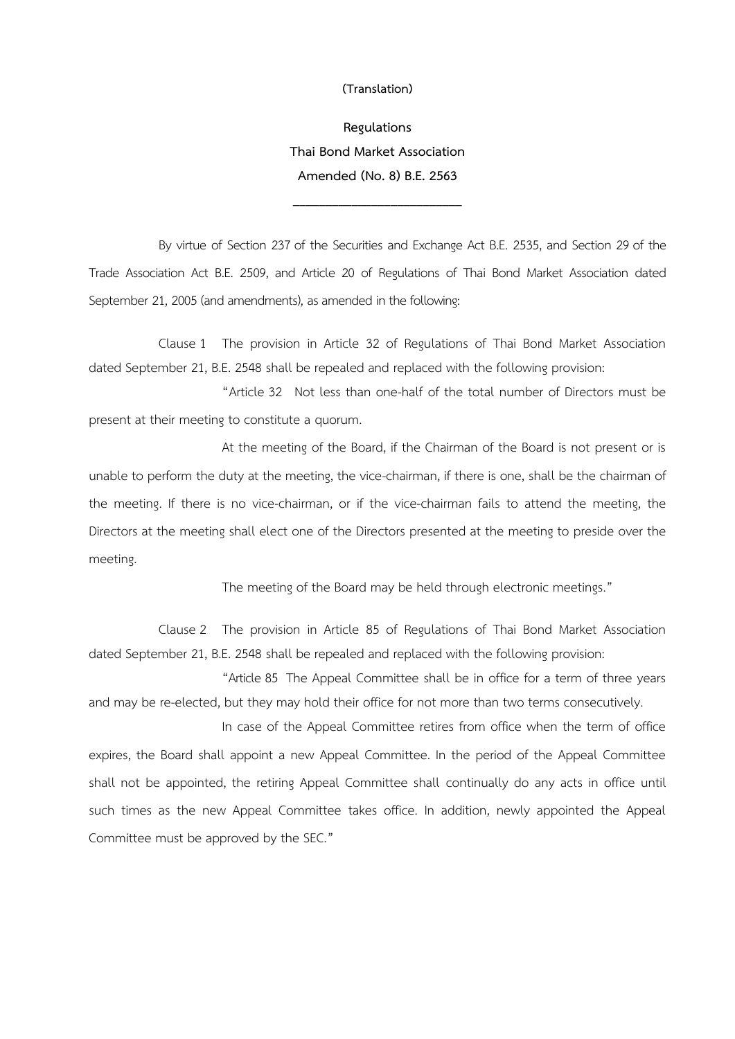## **(Translation)**

**Regulations Thai Bond Market Association Amended (No. 8) B.E. 2563** 

**\_\_\_\_\_\_\_\_\_\_\_\_\_\_\_\_\_\_\_\_\_\_\_\_\_\_**

By virtue of Section 237 of the Securities and Exchange Act B.E. 2535, and Section 29 of the Trade Association Act B.E. 2509, and Article 20 of Regulations of Thai Bond Market Association dated September 21, 2005 (and amendments), as amended in the following:

Clause 1 The provision in Article 32 of Regulations of Thai Bond Market Association dated September 21, B.E. 2548 shall be repealed and replaced with the following provision:

"Article 32 Not less than one-half of the total number of Directors must be present at their meeting to constitute a quorum.

At the meeting of the Board, if the Chairman of the Board is not present or is unable to perform the duty at the meeting, the vice-chairman, if there is one, shall be the chairman of the meeting. If there is no vice-chairman, or if the vice-chairman fails to attend the meeting, the Directors at the meeting shall elect one of the Directors presented at the meeting to preside over the meeting.

The meeting of the Board may be held through electronic meetings."

Clause 2 The provision in Article 85 of Regulations of Thai Bond Market Association dated September 21, B.E. 2548 shall be repealed and replaced with the following provision:

"Article 85 The Appeal Committee shall be in office for a term of three years and may be re-elected, but they may hold their office for not more than two terms consecutively.

In case of the Appeal Committee retires from office when the term of office expires, the Board shall appoint a new Appeal Committee. In the period of the Appeal Committee shall not be appointed, the retiring Appeal Committee shall continually do any acts in office until such times as the new Appeal Committee takes office. In addition, newly appointed the Appeal Committee must be approved by the SEC."